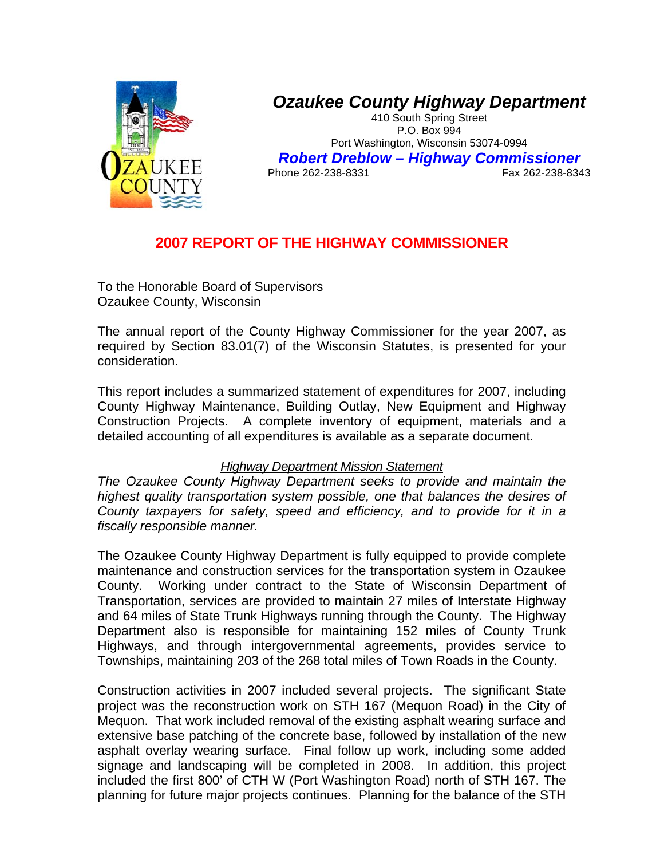

## *Ozaukee County Highway Department*

410 South Spring Street P.O. Box 994 Port Washington, Wisconsin 53074-0994 *Robert Dreblow – Highway Commissioner*  Phone 262-238-8331

## **2007 REPORT OF THE HIGHWAY COMMISSIONER**

To the Honorable Board of Supervisors Ozaukee County, Wisconsin

The annual report of the County Highway Commissioner for the year 2007, as required by Section 83.01(7) of the Wisconsin Statutes, is presented for your consideration.

This report includes a summarized statement of expenditures for 2007, including County Highway Maintenance, Building Outlay, New Equipment and Highway Construction Projects. A complete inventory of equipment, materials and a detailed accounting of all expenditures is available as a separate document.

## *Highway Department Mission Statement*

*The Ozaukee County Highway Department seeks to provide and maintain the highest quality transportation system possible, one that balances the desires of County taxpayers for safety, speed and efficiency, and to provide for it in a fiscally responsible manner.* 

The Ozaukee County Highway Department is fully equipped to provide complete maintenance and construction services for the transportation system in Ozaukee County. Working under contract to the State of Wisconsin Department of Transportation, services are provided to maintain 27 miles of Interstate Highway and 64 miles of State Trunk Highways running through the County. The Highway Department also is responsible for maintaining 152 miles of County Trunk Highways, and through intergovernmental agreements, provides service to Townships, maintaining 203 of the 268 total miles of Town Roads in the County.

Construction activities in 2007 included several projects. The significant State project was the reconstruction work on STH 167 (Mequon Road) in the City of Mequon. That work included removal of the existing asphalt wearing surface and extensive base patching of the concrete base, followed by installation of the new asphalt overlay wearing surface. Final follow up work, including some added signage and landscaping will be completed in 2008. In addition, this project included the first 800' of CTH W (Port Washington Road) north of STH 167. The planning for future major projects continues. Planning for the balance of the STH